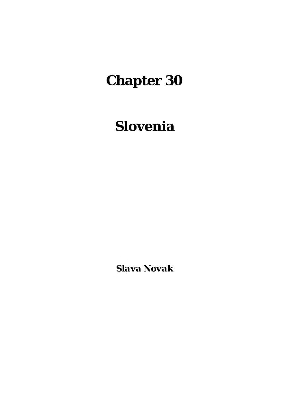# **Chapter 30**

## **Slovenia**

*Slava Novak*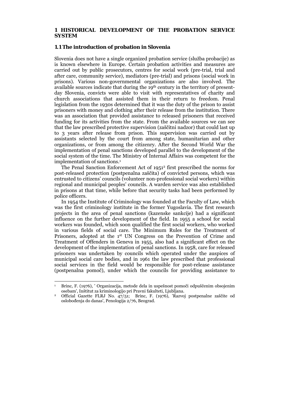#### **1 HISTORICAL DEVELOPMENT OF THE PROBATION SERVICE SYSTEM**

#### **1.1 The introduction of probation in Slovenia**

Slovenia does not have a single organized probation service (služba probacije) as is known elsewhere in Europe. Certain probation activities and measures are carried out by public prosecutors, centres for social work (pre-trial, trial and after care, community service), mediators (pre-trial) and prisons (social work in prisons). Various non-governmental organizations are also involved. The available sources indicate that during the 19th century in the territory of presentday Slovenia, convicts were able to visit with representatives of charity and church associations that assisted them in their return to freedom. Penal legislation from the 1930s determined that it was the duty of the prison to assist prisoners with money and clothing after their release from the institution. There was an association that provided assistance to released prisoners that received funding for its activities from the state. From the available sources we can see that the law prescribed protective supervision (zaščitni nadzor) that could last up to 3 years after release from prison. This supervision was carried out by assistants selected by the court from among state, humanitarian and other organizations, or from among the citizenry. After the Second World War the implementation of penal sanctions developed parallel to the development of the social system of the time. The Ministry of Internal Affairs was competent for the implementation of sanctions.1

The Penal Sanction Enforcement Act of 1951<sup>2</sup> first prescribed the norms for post-released protection (postpenalna zaščita) of convicted persons, which was entrusted to citizens' councils (volunteer non-professional social workers) within regional and municipal peoples' councils. A warden service was also established in prisons at that time, while before that security tasks had been performed by police officers.

 In 1954 the Institute of Criminology was founded at the Faculty of Law, which was the first criminology institute in the former Yugoslavia. The first research projects in the area of penal sanctions (kazenske sankcije) had a significant influence on the further development of the field. In 1955 a school for social workers was founded, which soon qualified the first social workers, who worked in various fields of social care. The Minimum Rules for the Treatment of Prisoners, adopted at the  $1<sup>st</sup>$  UN Congress on the Prevention of Crime and Treatment of Offenders in Geneva in 1955, also had a significant effect on the development of the implementation of penal sanctions. In 1958, care for released prisoners was undertaken by councils which operated under the auspices of municipal social care bodies, and in 1961 the law prescribed that professional social services in the field would be responsible for post-release assistance (postpenalna pomoč), under which the councils for providing assistance to

Brinc, F. (1976), ' Organizacija, metode dela in uspešnost pomoči odpuščenim obsojenim osebam', Inštitut za kriminologijo pri Pravni fakulteti, Ljubljana.

Official Gazette FLRJ No. 47/51; Brinc, F. (1976), 'Razvoj postpenalne zaščite od oslobođenja do danas', Penologija 2/76, Beograd.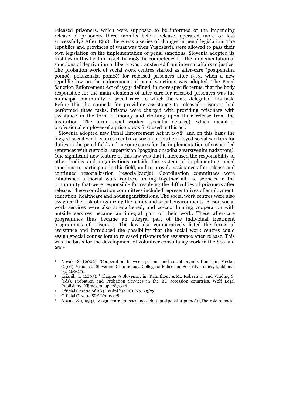released prisoners, which were supposed to be informed of the impending release of prisoners three months before release, operated more or less successfully3. After 1968, there was a series of changes in penal legislation. The republics and provinces of what was then Yugoslavia were allowed to pass their own legislation on the implementation of penal sanctions. Slovenia adopted its first law in this field in 19704. In 1968 the competency for the implementation of sanctions of deprivation of liberty was transferred from internal affairs to justice. The probation work of social work centres started as after-care (postpenalna pomoč, pokazenska pomoč) for released prisoners after 1973, when a new republic law on the enforcement of penal sanctions was adopted. The Penal Sanction Enforcement Act of 19735 defined, in more specific terms, that the body responsible for the main elements of after-care for released prisoners was the municipal community of social care, to which the state delegated this task. Before this the councils for providing assistance to released prisoners had performed these tasks. Prisons were charged with providing prisoners with assistance in the form of money and clothing upon their release from the institution. The term social worker (socialni delavec), which meant a professional employee of a prison, was first used in this act.

 Slovenia adopted new Penal Enforcement Act in 19786 and on this basis the biggest social work centres (centri za socialno delo) employed social workers for duties in the penal field and in some cases for the implementation of suspended sentences with custodial supervision (pogojna obsodba z varstvenim nadzorom). One significant new feature of this law was that it increased the responsibility of other bodies and organizations outside the system of implementing penal sanctions to participate in this field, and to provide assistance after release and continued resocialization (resocializacija). Coordination committees were established at social work centres, linking together all the services in the community that were responsible for resolving the difficulties of prisoners after release. These coordination committees included representatives of employment, education, healthcare and housing institutions. The social work centres were also assigned the task of organizing the family and social environments. Prison social work services were also strengthened, and co-coordinating cooperation with outside services became an integral part of their work. These after-care programmes thus became an integral part of the individual treatment programmes of prisoners. The law also comparatively listed the forms of assistance and introduced the possibility that the social work centres could assign special counsellors to released prisoners for assistance after release. This was the basis for the development of volunteer consultancy work in the 80s and 90s7.

1

<sup>3</sup> Novak, S. (2002), 'Cooperation between prisons and social organisations', in Meško, G.(ed), Visions of Slovenian Criminology, College of Police and Security studies, Ljubljana, pp. 269-276. 4 Križnik, I. (2003), ' Chapter 9 Slovenia', in: Kalmthout A.M., Roberts J. and Vinding S.

<sup>(</sup>eds), Probation and Probation Services in the EU accession countries, Wolf Legal Publishers, Nijmegen, pp. 287-316. 5 Official Gazette of RS (Uradni list RS), No. 25/73. 6 Official Gazette SRS No. 17/78.

<sup>7</sup> Novak, S. (1993), 'Vloga centra za socialno delo v postpenalni pomoči (The role of social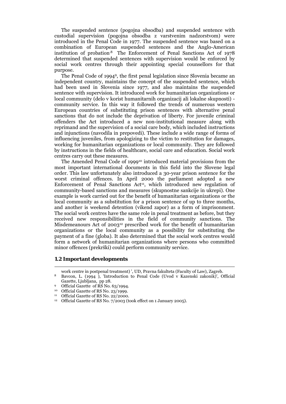The suspended sentence (pogojna obsodba) and suspended sentence with custodial supervision (pogojna obsodba z varstvenim nadzorstvom) were introduced in the Penal Code in 1977. The suspended sentence was based on a combination of European suspended sentences and the Anglo-American institution of probation.8 The Enforcement of Penal Sanctions Act of 1978 determined that suspended sentences with supervision would be enforced by social work centres through their appointing special counsellors for that purpose.

 The Penal Code of 19949, the first penal legislation since Slovenia became an independent country, maintains the concept of the suspended sentence, which had been used in Slovenia since 1977, and also maintains the suspended sentence with supervision. It introduced work for humanitarian organizations or local community (delo v korist humanitarnih organizacij ali lokalne skupnosti) community service. In this way it followed the trends of numerous western European countries of substituting prison sentences with alternative penal sanctions that do not include the deprivation of liberty. For juvenile criminal offenders the Act introduced a new non-institutional measure along with reprimand and the supervision of a social care body, which included instructions and injunctions (navodila in prepovedi). These include a wide range of forms of influencing juveniles, from apologizing to the victim to restitution for damages, working for humanitarian organizations or local community. They are followed by instructions in the fields of healthcare, social care and education. Social work centres carry out these measures.

 The Amended Penal Code of 199910 introduced material provisions from the most important international documents in this field into the Slovene legal order. This law unfortunately also introduced a 30-year prison sentence for the worst criminal offences. In April 2000 the parliament adopted a new Enforcement of Penal Sanctions  $Act^{11}$ , which introduced new regulation of community-based sanctions and measures (skupnostne sankcije in ukrepi). One example is work carried out for the benefit of humanitarian organizations or the local community as a substitution for a prison sentence of up to three months, and another is weekend detention (vikend zapor) as a form of imprisonment. The social work centres have the same role in penal treatment as before, but they received new responsibilities in the field of community sanctions. The Misdemeanours Act of 200312 prescribed work for the benefit of humanitarian organizations or the local community as a possibility for substituting the payment of a fine (globa). It also determined that the social work centres would form a network of humanitarian organizations where persons who committed minor offences (prekrški) could perform community service.

#### **1.2 Important developments**

- work centre in postpenal treatment) ', UD, Pravna fakulteta (Faculty of Law), Zagreb. 8 Bavcon, L. (1994 ), 'Introduction to Penal Code (Uvod v Kazenski zakonik)', Official Gazette, Ljubljana, pp 28.<br>
9 Official Gazette of RS No. 63/1994.<br>
10 Official Gazette of RS No. 23/1999.
- 
- 11 Official Gazette of RS No. 22/2000.
- <sup>12</sup> Official Gazette of RS No. 7/2003 (took effect on 1 January 2005).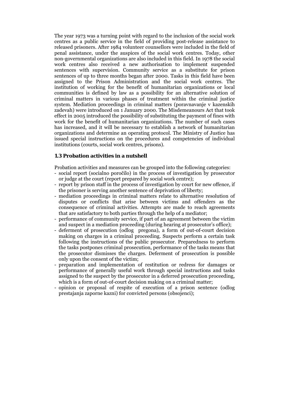The year 1973 was a turning point with regard to the inclusion of the social work centres as a public service in the field of providing post-release assistance to released prisoners. After 1984 volunteer counsellors were included in the field of penal assistance, under the auspices of the social work centres. Today, other non-governmental organizations are also included in this field. In 1978 the social work centres also received a new authorisation to implement suspended sentences with supervision. Community service as a substitute for prison sentences of up to three months began after 2000. Tasks in this field have been assigned to the Prison Administration and the social work centres. The institution of working for the benefit of humanitarian organizations or local communities is defined by law as a possibility for an alternative solution of criminal matters in various phases of treatment within the criminal justice system. Mediation proceedings in criminal matters (poravnavanje v kazenskih zadevah) were introduced on 1 January 2000. The Misdemeanours Act that took effect in 2005 introduced the possibility of substituting the payment of fines with work for the benefit of humanitarian organizations. The number of such cases has increased, and it will be necessary to establish a network of humanitarian organizations and determine an operating protocol. The Ministry of Justice has issued special instructions on the procedures and competencies of individual institutions (courts, social work centres, prisons).

#### **1.3 Probation activities in a nutshell**

Probation activities and measures can be grouped into the following categories:

- social report (socialno poročilo) in the process of investigation by prosecutor or judge at the court (report prepared by social work centre);
- report by prison staff in the process of investigation by court for new offence, if the prisoner is serving another sentence of deprivation of liberty;
- mediation proceedings in criminal matters relate to alternative resolution of disputes or conflicts that arise between victims and offenders as the consequence of criminal activities. Attempts are made to reach agreements that are satisfactory to both parties through the help of a mediator;
- performance of community service, if part of an agreement between the victim and suspect in a mediation proceeding (during hearing at prosecutor's office);
- deferment of prosecution (odlog pregona), a form of out-of-court decision making on charges in a criminal proceeding. Suspects perform a certain task following the instructions of the public prosecutor. Preparedness to perform the tasks postpones criminal prosecution, performance of the tasks means that the prosecutor dismisses the charges. Deferment of prosecution is possible only upon the consent of the victim;
- preparation and implementation of restitution or redress for damages or performance of generally useful work through special instructions and tasks assigned to the suspect by the prosecutor in a deferred prosecution proceeding, which is a form of out-of-court decision making on a criminal matter;
- opinion or proposal of respite of execution of a prison sentence (odlog prestajanja zaporne kazni) for convicted persons (obsojenci);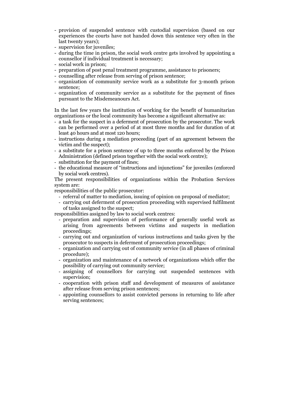- provision of suspended sentence with custodial supervision (based on our experiences the courts have not handed down this sentence very often in the last twenty years);
- supervision for juveniles;
- during the time in prison, the social work centre gets involved by appointing a counsellor if individual treatment is necessary;
- social work in prison;
- preparation of post penal treatment programme, assistance to prisoners;
- counselling after release from serving of prison sentence;
- organization of community service work as a substitute for 3-month prison sentence;
- organization of community service as a substitute for the payment of fines pursuant to the Misdemeanours Act.

In the last few years the institution of working for the benefit of humanitarian organizations or the local community has become a significant alternative as:

- a task for the suspect in a deferment of prosecution by the prosecutor. The work can be performed over a period of at most three months and for duration of at least 40 hours and at most 120 hours;
- instructions during a mediation proceeding (part of an agreement between the victim and the suspect);
- a substitute for a prison sentence of up to three months enforced by the Prison Administration (defined prison together with the social work centre);
- substitution for the payment of fines;
- the educational measure of "instructions and injunctions" for juveniles (enforced by social work centres).

The present responsibilities of organizations within the Probation Services system are:

responsibilities of the public prosecutor:

- referral of matter to mediation, issuing of opinion on proposal of mediator;
- carrying out deferment of prosecution proceeding with supervised fulfilment of tasks assigned to the suspect;

responsibilities assigned by law to social work centres:

- preparation and supervision of performance of generally useful work as arising from agreements between victims and suspects in mediation proceedings;
- carrying out and organization of various instructions and tasks given by the prosecutor to suspects in deferment of prosecution proceedings;
- organization and carrying out of community service (in all phases of criminal procedure);
- organization and maintenance of a network of organizations which offer the possibility of carrying out community service;
- assigning of counsellors for carrying out suspended sentences with supervision;
- cooperation with prison staff and development of measures of assistance after release from serving prison sentences;
- appointing counsellors to assist convicted persons in returning to life after serving sentences;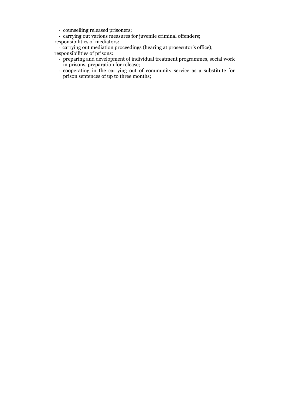- counselling released prisoners;
- carrying out various measures for juvenile criminal offenders;
- responsibilities of mediators:
- carrying out mediation proceedings (hearing at prosecutor's office); responsibilities of prisons:
	- preparing and development of individual treatment programmes, social work in prisons, preparation for release;
	- cooperating in the carrying out of community service as a substitute for prison sentences of up to three months;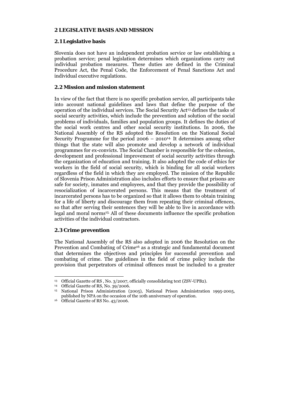## **2 LEGISLATIVE BASIS AND MISSION**

## **2.1 Legislative basis**

Slovenia does not have an independent probation service or law establishing a probation service; penal legislation determines which organizations carry out individual probation measures. These duties are defined in the Criminal Procedure Act, the Penal Code, the Enforcement of Penal Sanctions Act and individual executive regulations.

## **2.2 Mission and mission statement**

In view of the fact that there is no specific probation service, all participants take into account national guidelines and laws that define the purpose of the operation of the individual services. The Social Security Act13 defines the tasks of social security activities, which include the prevention and solution of the social problems of individuals, families and population groups. It defines the duties of the social work centres and other social security institutions. In 2006, the National Assembly of the RS adopted the Resolution on the National Social Security Programme for the period  $2006 - 2010^{14}$ . It determines among other things that the state will also promote and develop a network of individual programmes for ex-convicts. The Social Chamber is responsible for the cohesion, development and professional improvement of social security activities through the organization of education and training. It also adopted the code of ethics for workers in the field of social security, which is binding for all social workers regardless of the field in which they are employed. The mission of the Republic of Slovenia Prison Administration also includes efforts to ensure that prisons are safe for society, inmates and employees, and that they provide the possibility of resocialization of incarcerated persons. This means that the treatment of incarcerated persons has to be organized so that it allows them to obtain training for a life of liberty and discourage them from repeating their criminal offences, so that after serving their sentences they will be able to live in accordance with legal and moral norms15. All of these documents influence the specific probation activities of the individual contractors.

## **2.3 Crime prevention**

-

The National Assembly of the RS also adopted in 2006 the Resolution on the Prevention and Combating of Crime<sup>16</sup> as a strategic and fundamental document that determines the objectives and principles for successful prevention and combating of crime. The guidelines in the field of crime policy include the provision that perpetrators of criminal offences must be included to a greater

<sup>13</sup> Official Gazette of RS , No. 3/2007, officially consolidating text (ZSV-UPB2). 14 Official Gazette of RS, No. 39/2006.

<sup>15</sup> National Prison Administration (2005), National Prison Administration 1995-2005, published by NPA on the occasion of the 10th anniversary of operation. 16 Official Gazette of RS No. 43/2006.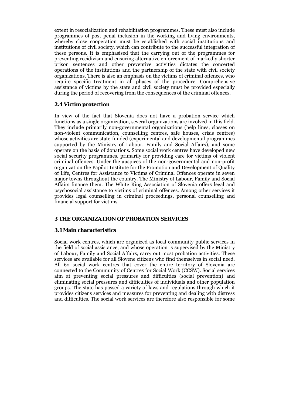extent in resocialization and rehabilitation programmes. These must also include programmes of post penal inclusion in the working and living environments, whereby close cooperation must be established with social institutions and institutions of civil society, which can contribute to the successful integration of these persons. It is emphasised that the carrying out of the programmes for preventing recidivism and ensuring alternative enforcement of markedly shorter prison sentences and other preventive activities dictates the concerted operations of the institutions and the partnership of the state with civil society organizations. There is also an emphasis on the victims of criminal offences, who require specific treatment in all phases of the procedure. Comprehensive assistance of victims by the state and civil society must be provided especially during the period of recovering from the consequences of the criminal offences.

## **2.4 Victim protection**

In view of the fact that Slovenia does not have a probation service which functions as a single organization, several organizations are involved in this field. They include primarily non-governmental organizations (help lines, classes on non-violent communication, counselling centres, safe houses, crisis centres) whose activities are state-funded (experimental and developmental programmes supported by the Ministry of Labour, Family and Social Affairs), and some operate on the basis of donations. Some social work centres have developed new social security programmes, primarily for providing care for victims of violent criminal offences. Under the auspices of the non-governmental and non-profit organization the Papilot Institute for the Promotion and Development of Quality of Life, Centres for Assistance to Victims of Criminal Offences operate in seven major towns throughout the country. The Ministry of Labour, Family and Social Affairs finance them. The White Ring Association of Slovenia offers legal and psychosocial assistance to victims of criminal offences. Among other services it provides legal counselling in criminal proceedings, personal counselling and financial support for victims.

### **3 THE ORGANIZATION OF PROBATION SERVICES**

### **3.1 Main characteristics**

Social work centres, which are organized as local community public services in the field of social assistance, and whose operation is supervised by the Ministry of Labour, Family and Social Affairs, carry out most probation activities. These services are available for all Slovene citizens who find themselves in social need. All 62 social work centres that cover the entire territory of Slovenia are connected to the Community of Centres for Social Work (CCSW). Social services aim at preventing social pressures and difficulties (social prevention) and eliminating social pressures and difficulties of individuals and other population groups. The state has passed a variety of laws and regulations through which it provides citizens services and measures for preventing and dealing with distress and difficulties. The social work services are therefore also responsible for some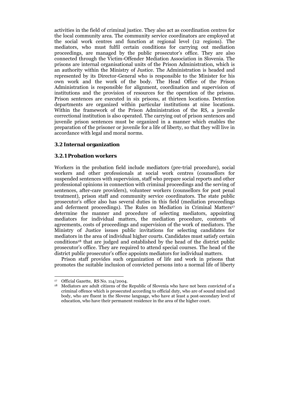activities in the field of criminal justice. They also act as coordination centres for the local community area. The community service coordinators are employed at the social work centres and function at regional level (12 regions). The mediators, who must fulfil certain conditions for carrying out mediation proceedings, are managed by the public prosecutor's office. They are also connected through the Victim-Offender Mediation Association in Slovenia. The prisons are internal organisational units of the Prison Administration, which is an authority within the Ministry of Justice. The Administration is headed and represented by its Director-General who is responsible to the Minister for his own work and the work of the body. The Head Office of the Prison Administration is responsible for alignment, coordination and supervision of institutions and the provision of resources for the operation of the prisons. Prison sentences are executed in six prisons, at thirteen locations. Detention departments are organized within particular institutions at nine locations. Within the framework of the Prison Administration of the RS, a juvenile correctional institution is also operated. The carrying out of prison sentences and juvenile prison sentences must be organized in a manner which enables the preparation of the prisoner or juvenile for a life of liberty, so that they will live in accordance with legal and moral norms.

## **3.2 Internal organization**

### **3.2.1 Probation workers**

Workers in the probation field include mediators (pre-trial procedure), social workers and other professionals at social work centres (counsellors for suspended sentences with supervision, staff who prepare social reports and other professional opinions in connection with criminal proceedings and the serving of sentences, after-care providers), volunteer workers (counsellors for post penal treatment), prison staff and community service coordinators. The state public prosecutor's office also has several duties in this field (mediation proceedings and deferment proceedings). The Rules on Mediation in Criminal Matters<sup>17</sup> determine the manner and procedure of selecting mediators, appointing mediators for individual matters, the mediation procedure, contents of agreements, costs of proceedings and supervision of the work of mediators. The Ministry of Justice issues public invitations for selecting candidates for mediators in the area of individual higher courts. Candidates must satisfy certain conditions18 that are judged and established by the head of the district public prosecutor's office. They are required to attend special courses. The head of the district public prosecutor's office appoints mediators for individual matters.

 Prison staff provides such organization of life and work in prisons that promotes the suitable inclusion of convicted persons into a normal life of liberty

<sup>&</sup>lt;sup>17</sup> Official Gazette, RS No. 114/2004.<br><sup>18</sup> Mediators are adult citizens of the Republic of Slovenia who have not been convicted of a criminal offence which is prosecuted according to official duty, who are of sound mind and body, who are fluent in the Slovene language, who have at least a post-secondary level of education, who have their permanent residence in the area of the higher court.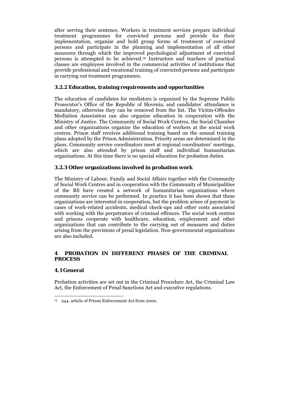after serving their sentence. Workers in treatment services prepare individual treatment programmes for convicted persons and provide for their implementation, organize and hold group forms of treatment of convicted persons and participate in the planning and implementation of all other measures through which the improved psychological adjustment of convicted persons is attempted to be achieved.19 Instructors and teachers of practical classes are employees involved in the commercial activities of institutions that provide professional and vocational training of convicted persons and participate in carrying out treatment programmes.

### **3.2.2 Education, training requirements and opportunities**

The education of candidates for mediators is organized by the Supreme Public Prosecutor's Office of the Republic of Slovenia, and candidates' attendance is mandatory, otherwise they can be removed from the list. The Victim-Offender Mediation Association can also organize education in cooperation with the Ministry of Justice. The Community of Social Work Centres, the Social Chamber and other organizations organize the education of workers at the social work centres. Prison staff receives additional training based on the annual training plans adopted by the Prison Administration. Priority areas are determined in the plans. Community service coordinators meet at regional coordinators' meetings, which are also attended by prison staff and individual humanitarian organizations. At this time there is no special education for probation duties.

### **3.2.3 Other organizations involved in probation work**

The Ministry of Labour, Family and Social Affairs together with the Community of Social Work Centres and in cooperation with the Community of Municipalities of the RS have created a network of humanitarian organizations where community service can be performed. In practice it has been shown that these organizations are interested in cooperation, but the problem arises of payment in cases of work-related accidents, medical check-ups and other costs associated with working with the perpetrators of criminal offences. The social work centres and prisons cooperate with healthcare, education, employment and other organizations that can contribute to the carrying out of measures and duties arising from the provisions of penal legislation. Non-governmental organizations are also included.

## **4 PROBATION IN DIFFERENT PHASES OF THE CRIMINAL PROCESS**

### **4.1 General**

Probation activities are set out in the Criminal Procedure Act, the Criminal Law Act, the Enforcement of Penal Sanctions Act and executive regulations.

<sup>-</sup>19 244. article of Prison Enforcement Act from 2000.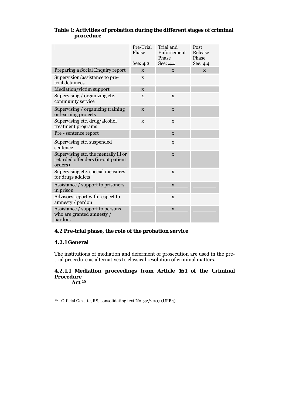|                                                                                       | Pre-Trial<br>Phase<br>See: 4.2 | Trial and<br>Enforcement<br>Phase<br>See: 4.4 | Post<br>Release<br>Phase<br>See: 4.4 |
|---------------------------------------------------------------------------------------|--------------------------------|-----------------------------------------------|--------------------------------------|
| Preparing a Social Enquiry report                                                     | X                              | $\mathbf{x}$                                  | X                                    |
| Supervision/assistance to pre-<br>trial detainees                                     | X                              |                                               |                                      |
| Mediation/victim support                                                              | $\mathbf{x}$                   |                                               |                                      |
| Supervising / organizing etc.<br>community service                                    | $\mathbf X$                    | X                                             |                                      |
| Supervising / organizing training<br>or learning projects                             | X                              | X                                             |                                      |
| Supervising etc. drug/alcohol<br>treatment programs                                   | $\mathbf X$                    | X                                             |                                      |
| Pre - sentence report                                                                 |                                | X                                             |                                      |
| Supervising etc. suspended<br>sentence                                                |                                | X                                             |                                      |
| Supervising etc. the mentally ill or<br>retarded offenders (in-out patient<br>orders) |                                | X                                             |                                      |
| Supervising etc. special measures<br>for drugs addicts                                |                                | X                                             |                                      |
| Assistance / support to prisoners<br>in prison                                        |                                | X                                             |                                      |
| Advisory report with respect to<br>amnesty / pardon                                   |                                | $\mathbf x$                                   |                                      |
| Assistance / support to persons<br>who are granted amnesty /<br>pardon.               |                                | $\mathbf X$                                   |                                      |

## **Table 1: Activities of probation during the different stages of criminal procedure**

## **4.2 Pre-trial phase, the role of the probation service**

## **4.2.1 General**

The institutions of mediation and deferment of prosecution are used in the pretrial procedure as alternatives to classical resolution of criminal matters.

#### **4.2.1.1 Mediation proceedings from Article 161 of the Criminal Procedure Act 20**

<sup>-</sup>20 Official Gazette, RS, consolidating text No. 32/2007 (UPB4).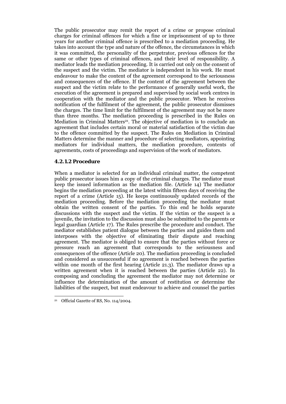The public prosecutor may remit the report of a crime or propose criminal charges for criminal offences for which a fine or imprisonment of up to three years for another criminal offence is prescribed to a mediation proceeding. He takes into account the type and nature of the offence, the circumstances in which it was committed, the personality of the perpetrator, previous offences for the same or other types of criminal offences, and their level of responsibility. A mediator leads the mediation proceeding. It is carried out only on the consent of the suspect and the victim. The mediator is independent in his work. He must endeavour to make the content of the agreement correspond to the seriousness and consequences of the offence. If the content of the agreement between the suspect and the victim relate to the performance of generally useful work, the execution of the agreement is prepared and supervised by social work centres in cooperation with the mediator and the public prosecutor. When he receives notification of the fulfilment of the agreement, the public prosecutor dismisses the charges. The time limit for the fulfilment of the agreement may not be more than three months. The mediation proceeding is prescribed in the Rules on Mediation in Criminal Matters<sup>21</sup>. The objective of mediation is to conclude an agreement that includes certain moral or material satisfaction of the victim due to the offence committed by the suspect. The Rules on Mediation in Criminal Matters determine the manner and procedure of selecting mediators, appointing mediators for individual matters, the mediation procedure, contents of agreements, costs of proceedings and supervision of the work of mediators.

### **4.2.1.2 Procedure**

When a mediator is selected for an individual criminal matter, the competent public prosecutor issues him a copy of the criminal charges. The mediator must keep the issued information as the mediation file. (Article 14) The mediator begins the mediation proceeding at the latest within fifteen days of receiving the report of a crime (Article 15). He keeps continuously updated records of the mediation proceeding. Before the mediation proceeding the mediator must obtain the written consent of the parties. To this end he holds separate discussions with the suspect and the victim. If the victim or the suspect is a juvenile, the invitation to the discussion must also be submitted to the parents or legal guardian (Article 17). The Rules prescribe the procedure and conduct. The mediator establishes patient dialogue between the parties and guides them and interposes with the objective of eliminating their dispute and reaching agreement. The mediator is obliged to ensure that the parties without force or pressure reach an agreement that corresponds to the seriousness and consequences of the offence (Article 20). The mediation proceeding is concluded and considered as unsuccessful if no agreement is reached between the parties within one month of the first hearing (Article 21.3). The mediator draws up a written agreement when it is reached between the parties (Article 22). In composing and concluding the agreement the mediator may not determine or influence the determination of the amount of restitution or determine the liabilities of the suspect, but must endeavour to achieve and counsel the parties

<sup>21</sup> Official Gazette of RS, No. 114/2004.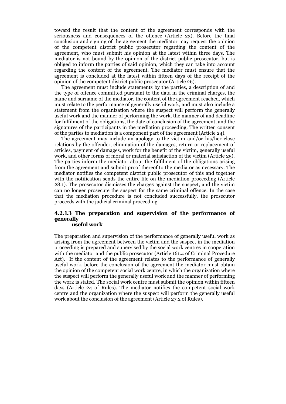toward the result that the content of the agreement corresponds with the seriousness and consequences of the offence (Article 23). Before the final conclusion and signing of the agreement the mediator may request the opinion of the competent district public prosecutor regarding the content of the agreement, who must submit his opinion at the latest within three days. The mediator is not bound by the opinion of the district public prosecutor, but is obliged to inform the parties of said opinion, which they can take into account regarding the content of the agreement. The mediator must ensure that the agreement is concluded at the latest within fifteen days of the receipt of the opinion of the competent district public prosecutor (Article 26).

 The agreement must include statements by the parties, a description of and the type of offence committed pursuant to the data in the criminal charges, the name and surname of the mediator, the content of the agreement reached, which must relate to the performance of generally useful work, and must also include a statement from the organization where the suspect will perform the generally useful work and the manner of performing the work, the manner of and deadline for fulfilment of the obligations, the date of conclusion of the agreement, and the signatures of the participants in the mediation proceeding. The written consent of the parties to mediation is a component part of the agreement (Article 24).

 The agreement may include an apology to the victim and/or his/her close relations by the offender, elimination of the damages, return or replacement of articles, payment of damages, work for the benefit of the victim, generally useful work, and other forms of moral or material satisfaction of the victim (Article 25). The parties inform the mediator about the fulfilment of the obligations arising from the agreement and submit proof thereof to the mediator as necessary. The mediator notifies the competent district public prosecutor of this and together with the notification sends the entire file on the mediation proceeding (Article 28.1). The prosecutor dismisses the charges against the suspect, and the victim can no longer prosecute the suspect for the same criminal offence. In the case that the mediation procedure is not concluded successfully, the prosecutor proceeds with the judicial criminal proceeding.

#### **4.2.1.3 The preparation and supervision of the performance of generally useful work**

The preparation and supervision of the performance of generally useful work as arising from the agreement between the victim and the suspect in the mediation proceeding is prepared and supervised by the social work centres in cooperation with the mediator and the public prosecutor (Article 161.4 of Criminal Procedure Act). If the content of the agreement relates to the performance of generally useful work, before the conclusion of the agreement the mediator must obtain the opinion of the competent social work centre, in which the organization where the suspect will perform the generally useful work and the manner of performing the work is stated. The social work centre must submit the opinion within fifteen days (Article 24 of Rules). The mediator notifies the competent social work centre and the organization where the suspect will perform the generally useful work about the conclusion of the agreement (Article 27.2 of Rules).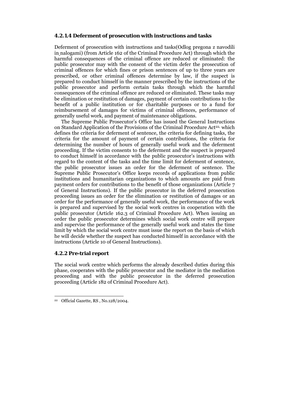#### **4.2.1.4 Deferment of prosecution with instructions and tasks**

Deferment of prosecution with instructions and tasks(Odlog pregona z navodili in nalogami) (from Article 162 of the Criminal Procedure Act) through which the harmful consequences of the criminal offence are reduced or eliminated: the public prosecutor may with the consent of the victim defer the prosecution of criminal offences for which fines or prison sentences of up to three years are prescribed, or other criminal offences determine by law, if the suspect is prepared to conduct himself in the manner prescribed by the instructions of the public prosecutor and perform certain tasks through which the harmful consequences of the criminal offence are reduced or eliminated. These tasks may be elimination or restitution of damages, payment of certain contributions to the benefit of a public institution or for charitable purposes or to a fund for reimbursement of damages for victims of criminal offences, performance of generally useful work, and payment of maintenance obligations.

 The Supreme Public Prosecutor's Office has issued the General Instructions on Standard Application of the Provisions of the Criminal Procedure Act<sup>22,</sup> which defines the criteria for deferment of sentence, the criteria for defining tasks, the criteria for the amount of payment of certain contributions, the criteria for determining the number of hours of generally useful work and the deferment proceeding. If the victim consents to the deferment and the suspect is prepared to conduct himself in accordance with the public prosecutor's instructions with regard to the content of the tasks and the time limit for deferment of sentence, the public prosecutor issues an order for the deferment of sentence. The Supreme Public Prosecutor's Office keeps records of applications from public institutions and humanitarian organizations to which amounts are paid from payment orders for contributions to the benefit of those organizations (Article 7 of General Instructions). If the public prosecutor in the deferred prosecution proceeding issues an order for the elimination or restitution of damages or an order for the performance of generally useful work, the performance of the work is prepared and supervised by the social work centres in cooperation with the public prosecutor (Article 162.3 of Criminal Procedure Act). When issuing an order the public prosecutor determines which social work centre will prepare and supervise the performance of the generally useful work and states the time limit by which the social work centre must issue the report on the basis of which he will decide whether the suspect has conducted himself in accordance with the instructions (Article 10 of General Instructions).

### **4.2.2 Pre-trial report**

-

The social work centre which performs the already described duties during this phase, cooperates with the public prosecutor and the mediator in the mediation proceeding and with the public prosecutor in the deferred prosecution proceeding (Article 182 of Criminal Procedure Act).

<sup>22</sup> Official Gazette, RS , No.128/2004.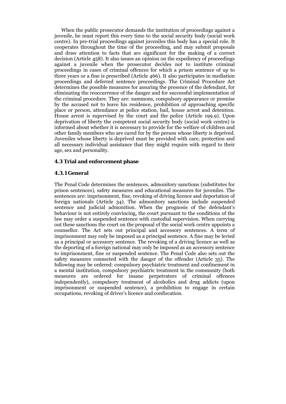When the public prosecutor demands the institution of proceedings against a juvenile, he must report this every time to the social security body (social work centre). In pre-trial proceedings against juveniles this body has a special role. It cooperates throughout the time of the proceeding, and may submit proposals and draw attention to facts that are significant for the making of a correct decision (Article 458). It also issues an opinion on the expediency of proceedings against a juvenile when the prosecutor decides not to institute criminal proceedings in cases of criminal offences for which a prison sentence of up to three years or a fine is prescribed (Article 466). It also participates in mediation proceedings and deferred sentence proceedings. The Criminal Procedure Act determines the possible measures for assuring the presence of the defendant, for eliminating the reoccurrence of the danger and for successful implementation of the criminal procedure. They are: summons, compulsory appearance or promise by the accused not to leave his residence, prohibition of approaching specific place or person, attendance at police station, bail, house arrest and detention. House arrest is supervised by the court and the police (Article 199.9). Upon deprivation of liberty the competent social security body (social work centre) is informed about whether it is necessary to provide for the welfare of children and other family members who are cared for by the person whose liberty is deprived. Juveniles whose liberty is deprived must be provided with care, protection and all necessary individual assistance that they might require with regard to their age, sex and personality.

#### **4.3 Trial and enforcement phase**

#### **4.3.1 General**

The Penal Code determines the sentences, admonitory sanctions (substitutes for prison sentences), safety measures and educational measures for juveniles. The sentences are: imprisonment, fine, revoking of driving licence and deportation of foreign nationals (Article 34). The admonitory sanctions include suspended sentence and judicial admonition. When the prognosis of the defendant's behaviour is not entirely convincing, the court pursuant to the conditions of the law may order a suspended sentence with custodial supervision. When carrying out these sanctions the court on the proposal of the social work centre appoints a counsellor. The Act sets out principal and accessory sentences. A term of imprisonment may only be imposed as a principal sentence. A fine may be levied as a principal or accessory sentence. The revoking of a driving licence as well as the deporting of a foreign national may only be imposed as an accessory sentence to imprisonment, fine or suspended sentence. The Penal Code also sets out the safety measures connected with the danger of the offender (Article 35). The following may be ordered: compulsory psychiatric treatment and confinement in a mental institution, compulsory psychiatric treatment in the community (both measures are ordered for insane perpetrators of criminal offences independently), compulsory treatment of alcoholics and drug addicts (upon imprisonment or suspended sentence), a prohibition to engage in certain occupations, revoking of driver's licence and confiscation.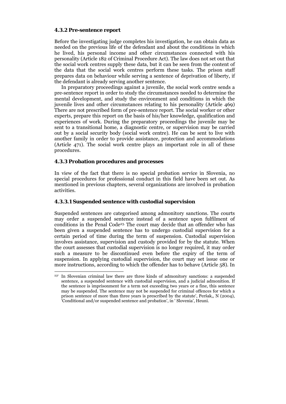#### **4.3.2 Pre-sentence report**

Before the investigating judge completes his investigation, he can obtain data as needed on the previous life of the defendant and about the conditions in which he lived, his personal income and other circumstances connected with his personality (Article 182 of Criminal Procedure Act). The law does not set out that the social work centres supply these data, but it can be seen from the content of the data that the social work centres perform these tasks. The prison staff prepares data on behaviour while serving a sentence of deprivation of liberty, if the defendant is already serving another sentence.

 In preparatory proceedings against a juvenile, the social work centre sends a pre-sentence report in order to study the circumstances needed to determine the mental development, and study the environment and conditions in which the juvenile lives and other circumstances relating to his personality (Article 469) There are not prescribed form of pre-sentence report. The social worker or other experts, prepare this report on the basis of his/her knowledge, qualification and experiences of work. During the preparatory proceedings the juvenile may be sent to a transitional home, a diagnostic centre, or supervision may be carried out by a social security body (social work centre). He can be sent to live with another family in order to provide assistance, protection and accommodations (Article 471). The social work centre plays an important role in all of these procedures.

### **4.3.3 Probation procedures and processes**

1

In view of the fact that there is no special probation service in Slovenia, no special procedures for professional conduct in this field have been set out. As mentioned in previous chapters, several organizations are involved in probation activities.

#### **4.3.3.1 Suspended sentence with custodial supervision**

Suspended sentences are categorised among admonitory sanctions. The courts may order a suspended sentence instead of a sentence upon fulfilment of conditions in the Penal Code23. The court may decide that an offender who has been given a suspended sentence has to undergo custodial supervision for a certain period of time during the term of suspension. Custodial supervision involves assistance, supervision and custody provided for by the statute. When the court assesses that custodial supervision is no longer required, it may order such a measure to be discontinued even before the expiry of the term of suspension. In applying custodial supervision, the court may set issue one or more instructions, according to which the offender has to behave (Article 58). In

<sup>23&#</sup>x27; In Slovenian criminal law there are three kinds of admonitory sanctions: a suspended sentence, a suspended sentence with custodial supervision, and a judicial admonition. If the sentence is imprisonment for a term not exceeding two years or a fine, this sentence may be suspended. The sentence may not be suspended for criminal offences for which a prison sentence of more than three years is prescribed by the statute', Peršak,, N (2004), 'Conditional and/or suspended sentence and probation', in ' Slovenia', Heuni.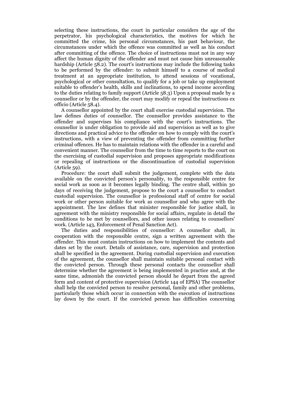selecting these instructions, the court in particular considers the age of the perpetrator, his psychological characteristics, the motives for which he committed the crime, his personal circumstances, his past behaviour, the circumstances under which the offence was committed as well as his conduct after committing of the offence. The choice of instructions must not in any way affect the human dignity of the offender and must not cause him unreasonable hardship (Article 58.2). The court's instructions may include the following tasks to be performed by the offender: to submit himself to a course of medical treatment at an appropriate institution, to attend sessions of vocational, psychological or other consultation, to qualify for a job or take up employment suitable to offender's health, skills and inclinations, to spend income according to the duties relating to family support (Article 58.3) Upon a proposal made by a counsellor or by the offender, the court may modify or repeal the instructions ex officio (Article 58.4).

 A counsellor appointed by the court shall exercise custodial supervision. The law defines duties of counsellor. The counsellor provides assistance to the offender and supervises his compliance with the court's instructions. The counsellor is under obligation to provide aid and supervision as well as to give directions and practical advice to the offender on how to comply with the court's instructions, with a view of preventing the offender from committing further criminal offences. He has to maintain relations with the offender in a careful and convenient manner. The counsellor from the time to time reports to the court on the exercising of custodial supervision and proposes appropriate modifications or repealing of instructions or the discontinuation of custodial supervision (Article 59).

 Procedure: the court shall submit the judgement, complete with the data available on the convicted person's personality, to the responsible centre for social work as soon as it becomes legally binding. The centre shall, within 30 days of receiving the judgement, propose to the court a counsellor to conduct custodial supervision. The counsellor is professional staff of centre for social work or other person suitable for work as counsellor and who agree with the appointment. The law defines that minister responsible for justice shall, in agreement with the ministry responsible for social affairs, regulate in detail the conditions to be met by counsellors, and other issues relating to counsellors' work. (Article 143, Enforcement of Penal Sanction Act).

 The duties and responsibilities of counsellor: A counsellor shall, in cooperation with the responsible centre, sign a written agreement with the offender. This must contain instructions on how to implement the contents and dates set by the court. Details of assistance, care, supervision and protection shall be specified in the agreement. During custodial supervision and execution of the agreement, the counsellor shall maintain suitable personal contact with the convicted person. Through these personal contacts the counsellor shall determine whether the agreement is being implemented in practice and, at the same time, admonish the convicted person should he depart from the agreed form and content of protective supervision (Article 144 of EPSA) The counsellor shall help the convicted person to resolve personal, family and other problems, particularly those which occur in connection with the execution of instructions lay down by the court. If the convicted person has difficulties concerning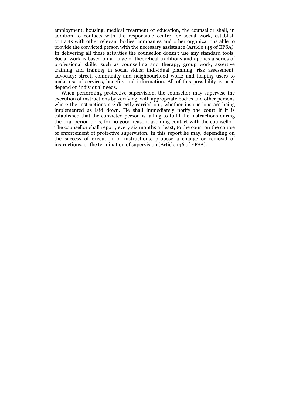employment, housing, medical treatment or education, the counsellor shall, in addition to contacts with the responsible centre for social work, establish contacts with other relevant bodies, companies and other organizations able to provide the convicted person with the necessary assistance (Article 145 of EPSA). In delivering all these activities the counsellor doesn't use any standard tools. Social work is based on a range of theoretical traditions and applies a series of professional skills, such as counselling and therapy, group work, assertive training and training in social skills; individual planning, risk assessment, advocacy; street, community and neighbourhood work; and helping users to make use of services, benefits and information. All of this possibility is used depend on individual needs.

 When performing protective supervision, the counsellor may supervise the execution of instructions by verifying, with appropriate bodies and other persons where the instructions are directly carried out, whether instructions are being implemented as laid down. He shall immediately notify the court if it is established that the convicted person is failing to fulfil the instructions during the trial period or is, for no good reason, avoiding contact with the counsellor. The counsellor shall report, every six months at least, to the court on the course of enforcement of protective supervision. In this report he may, depending on the success of execution of instructions, propose a change or removal of instructions, or the termination of supervision (Article 146 of EPSA).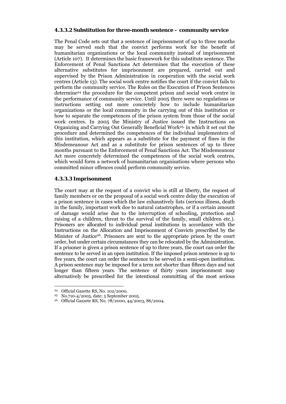#### **4.3.3.2 Substitution for three-month sentence – community service**

The Penal Code sets out that a sentence of imprisonment of up to three months may be served such that the convict performs work for the benefit of humanitarian organizations or the local community instead of imprisonment (Article 107). It determines the basic framework for this substitute sentence. The Enforcement of Penal Sanctions Act determines that the execution of these alternative substitutes for imprisonment are prepared, carried out and supervised by the Prison Administration in cooperation with the social work centres (Article 13). The social work centre notifies the court if the convict fails to perform the community service. The Rules on the Execution of Prison Sentences determine24 the procedure for the competent prison and social work centre in the performance of community service. Until 2005 there were no regulations or instructions setting out more concretely how to include humanitarian organizations or the local community in the carrying out of this institution or how to separate the competences of the prison system from those of the social work centres. In 2005 the Ministry of Justice issued the Instructions on Organizing and Carrying Out Generally Beneficial Work25, in which it set out the procedure and determined the competences of the individual implementers of this institution, which appears as a substitute for the payment of fines in the Misdemeanour Act and as a substitute for prison sentences of up to three months pursuant to the Enforcement of Penal Sanctions Act. The Misdemeanour Act more concretely determined the competences of the social work centres, which would form a network of humanitarian organisations where persons who committed minor offences could perform community service.

### **4.3.3.3 Imprisonment**

The court may at the request of a convict who is still at liberty, the request of family members or on the proposal of a social work centre delay the execution of a prison sentence in cases which the law exhaustively lists (serious illness, death in the family, important work doe to natural catastrophes, or if a certain amount of damage would arise due to the interruption of schooling, protection and raising of a children, threat to the survival of the family, small children etc.). Prisoners are allocated to individual penal institutions in accordance with the Instructions on the Allocation and Imprisonment of Convicts prescribed by the Minister of Justice26. Prisoners are sent to the appropriate prison by the court order, but under certain circumstances they can be relocated by the Administration. If a prisoner is given a prison sentence of up to three years, the court can order the sentence to be served in an open institution. If the imposed prison sentence is up to five years, the court can order the sentence to be served in a semi-open institution. A prison sentence may be imposed for a term not shorter than fifteen days and not longer than fifteen years. The sentence of thirty years imprisonment may alternatively be prescribed for the intentional committing of the most serious

<sup>&</sup>lt;sup>24</sup> Official Gazette RS, No. 102/2000.<br><sup>25</sup> No.710-4/2005, date: 5 September 2005.

<sup>&</sup>lt;sup>26</sup> Official Gazzete RS, No. 78/2000, 44/2003, 86/2004.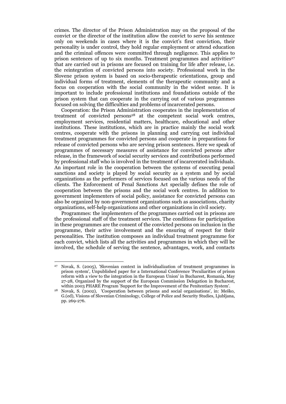crimes. The director of the Prison Administration may on the proposal of the convict or the director of the institution allow the convict to serve his sentence only on weekends in cases where it is the convict's first conviction, their personality is under control, they hold regular employment or attend education and the criminal offences were committed through negligence. This applies to prison sentences of up to six months. Treatment programmes and activities<sup>27</sup> that are carried out in prisons are focused on training for life after release, i.e. the reintegration of convicted persons into society. Professional work in the Slovene prison system is based on socio-therapeutic orientations, group and individual forms of treatment, elements of the therapeutic community and a focus on cooperation with the social community in the widest sense. It is important to include professional institutions and foundations outside of the prison system that can cooperate in the carrying out of various programmes focused on solving the difficulties and problems of incarcerated persons.

 Cooperation: the Prison Administration cooperates in the implementation of treatment of convicted persons<sup>28</sup> at the competent social work centres, employment services, residential matters, healthcare, educational and other institutions. These institutions, which are in practice mainly the social work centres, cooperate with the prisons in planning and carrying out individual treatment programmes for convicted persons and cooperate in preparations for release of convicted persons who are serving prison sentences. Here we speak of programmes of necessary measures of assistance for convicted persons after release, in the framework of social security services and contributions performed by professional staff who is involved in the treatment of incarcerated individuals. An important role in the cooperation between the systems of executing penal sanctions and society is played by social security as a system and by social organizations as the performers of services focused on the various needs of the clients. The Enforcement of Penal Sanctions Act specially defines the role of cooperation between the prisons and the social work centres. In addition to government implementers of social policy, assistance for convicted persons can also be organized by non-government organizations such as associations, charity organizations, self-help organizations and other organizations in civil society.

 Programmes: the implementers of the programmes carried out in prisons are the professional staff of the treatment services. The conditions for participation in these programmes are the consent of the convicted persons on inclusion in the programme, their active involvement and the ensuring of respect for their personalities. The institution composes an individual treatment programme for each convict, which lists all the activities and programmes in which they will be involved, the schedule of serving the sentence, advantages, work, and contacts

<sup>27</sup> Novak, S. (2005), 'Slovenian context in individualization of treatment programmes in prison system', Unpublished paper for a International Conference 'Peculiarities of prison reform with a view to the integration in the European Union' in Bucharest, Romania, May 27-28, Organized by the support of the European Commission Delegation in Bucharest,

within 2003 PHARE Program 'Support for the Improvement of the Penitentiary System'. 28 Novak, S. (2002), 'Cooperation between prisons and social organisations', in: Meško, G.(ed), Visions of Slovenian Criminology, College of Police and Security Studies, Ljubljana, pp. 269-276.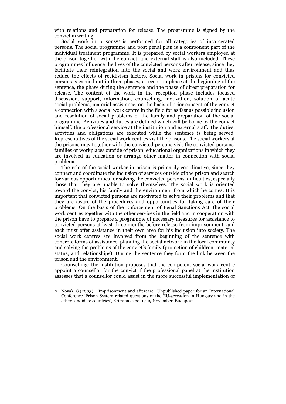with relations and preparation for release. The programme is signed by the convict in writing.

Social work in prisons<sup>29</sup> is performed for all categories of incarcerated persons. The social programme and post penal plan is a component part of the individual treatment programme. It is prepared by social workers employed at the prison together with the convict, and external staff is also included. These programmes influence the lives of the convicted persons after release, since they facilitate their reintegration into the social and work environment and thus reduce the effects of recidivism factors. Social work in prisons for convicted persons is carried out in three phases, a reception phase at the beginning of the sentence, the phase during the sentence and the phase of direct preparation for release. The content of the work in the reception phase includes focused discussion, support, information, counselling, motivation, solution of acute social problems, material assistance, on the basis of prior consent of the convict a connection with a social work centre in the field for as fast as possible inclusion and resolution of social problems of the family and preparation of the social programme. Activities and duties are defined which will be borne by the convict himself, the professional service at the institution and external staff. The duties, activities and obligations are executed while the sentence is being served. Representatives of the social work centres visit the prisons. The social workers at the prisons may together with the convicted persons visit the convicted persons' families or workplaces outside of prison, educational organizations in which they are involved in education or arrange other matter in connection with social problems.

 The role of the social worker in prison is primarily coordinative, since they connect and coordinate the inclusion of services outside of the prison and search for various opportunities for solving the convicted persons' difficulties, especially those that they are unable to solve themselves. The social work is oriented toward the convict, his family and the environment from which he comes. It is important that convicted persons are motivated to solve their problems and that they are aware of the procedures and opportunities for taking care of their problems. On the basis of the Enforcement of Penal Sanctions Act, the social work centres together with the other services in the field and in cooperation with the prison have to prepare a programme of necessary measures for assistance to convicted persons at least three months before release from imprisonment, and each must offer assistance in their own area for his inclusion into society. The social work centres are involved from the beginning of the sentence with concrete forms of assistance, planning the social network in the local community and solving the problems of the convict's family (protection of children, material status, and relationships). During the sentence they form the link between the prison and the environment.

 Counselling: the institution proposes that the competent social work centre appoint a counsellor for the convict if the professional panel at the institution assesses that a counsellor could assist in the more successful implementation of

<sup>29</sup> Novak, S.(2003), 'Imprisonment and aftercare', Unpublished paper for an International Conference 'Prison System related questions of the EU-accession in Hungary and in the other candidate countries', Kriminalexpo, 17-19 November, Budapest.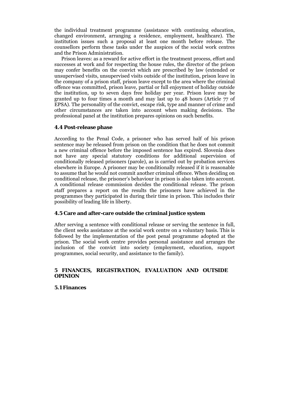the individual treatment programme (assistance with continuing education, changed environment, arranging a residence, employment, healthcare). The institution issues such a proposal at least one month before release. The counsellors perform these tasks under the auspices of the social work centres and the Prison Administration.

 Prison leaves: as a reward for active effort in the treatment process, effort and successes at work and for respecting the house rules, the director of the prison may confer benefits on the convict which are prescribed by law (extended or unsupervised visits, unsupervised visits outside of the institution, prison leave in the company of a prison staff, prison leave except to the area where the criminal offence was committed, prison leave, partial or full enjoyment of holiday outside the institution, up to seven days free holiday per year. Prison leave may be granted up to four times a month and may last up to 48 hours (Article 77 of EPSA). The personality of the convict, escape risk, type and manner of crime and other circumstances are taken into account when making decisions. The professional panel at the institution prepares opinions on such benefits.

#### **4.4 Post-release phase**

According to the Penal Code, a prisoner who has served half of his prison sentence may be released from prison on the condition that he does not commit a new criminal offence before the imposed sentence has expired. Slovenia does not have any special statutory conditions for additional supervision of conditionally released prisoners (parole), as is carried out by probation services elsewhere in Europe. A prisoner may be conditionally released if it is reasonable to assume that he would not commit another criminal offence. When deciding on conditional release, the prisoner's behaviour in prison is also taken into account. A conditional release commission decides the conditional release. The prison staff prepares a report on the results the prisoners have achieved in the programmes they participated in during their time in prison. This includes their possibility of leading life in liberty.

## **4.5 Care and after-care outside the criminal justice system**

After serving a sentence with conditional release or serving the sentence in full, the client seeks assistance at the social work centre on a voluntary basis. This is followed by the implementation of the post penal programme adopted at the prison. The social work centre provides personal assistance and arranges the inclusion of the convict into society (employment, education, support programmes, social security, and assistance to the family).

## **5 FINANCES, REGISTRATION, EVALUATION AND OUTSIDE OPINION**

#### **5.1 Finances**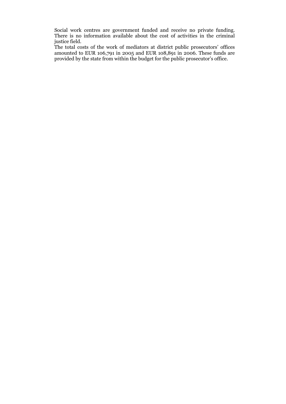Social work centres are government funded and receive no private funding. There is no information available about the cost of activities in the criminal justice field.

The total costs of the work of mediators at district public prosecutors' offices amounted to EUR 106,791 in 2005 and EUR 108,891 in 2006. These funds are provided by the state from within the budget for the public prosecutor's office.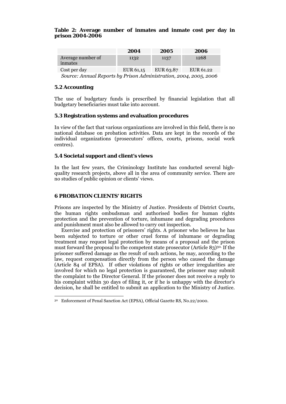#### **Table 2: Average number of inmates and inmate cost per day in prison 2004-2006**

|                              | 2004      | 2005      | 2006      |
|------------------------------|-----------|-----------|-----------|
| Average number of<br>inmates | 1132      | 1137      | 1268      |
| Cost per day                 | EUR 61,15 | EUR 63.87 | EUR 61.22 |

 *Source: Annual Reports by Prison Administration, 2004, 2005, 2006* 

## **5.2 Accounting**

The use of budgetary funds is prescribed by financial legislation that all budgetary beneficiaries must take into account.

## **5.3 Registration systems and evaluation procedures**

In view of the fact that various organizations are involved in this field, there is no national database on probation activities. Data are kept in the records of the individual organizations (prosecutors' offices, courts, prisons, social work centres).

### **5.4 Societal support and client's views**

In the last few years, the Criminology Institute has conducted several highquality research projects, above all in the area of community service. There are no studies of public opinion or clients' views.

## **6 PROBATION CLIENTS' RIGHTS**

Prisons are inspected by the Ministry of Justice. Presidents of District Courts, the human rights ombudsman and authorised bodies for human rights protection and the prevention of torture, inhumane and degrading procedures and punishment must also be allowed to carry out inspection.

 Exercise and protection of prisoners' rights. A prisoner who believes he has been subjected to torture or other cruel forms of inhumane or degrading treatment may request legal protection by means of a proposal and the prison must forward the proposal to the competent state prosecutor (Article 83)<sup>30.</sup> If the prisoner suffered damage as the result of such actions, he may, according to the law, request compensation directly from the person who caused the damage (Article 84 of EPSA). If other violations of rights or other irregularities are involved for which no legal protection is guaranteed, the prisoner may submit the complaint to the Director General. If the prisoner does not receive a reply to his complaint within 30 days of filing it, or if he is unhappy with the director's decision, he shall be entitled to submit an application to the Ministry of Justice.

<sup>-</sup>30 Enforcement of Penal Sanction Act (EPSA), Official Gazette RS, No.22/2000.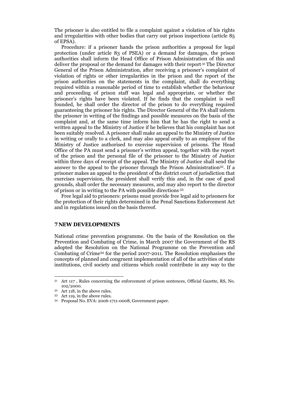The prisoner is also entitled to file a complaint against a violation of his rights and irregularities with other bodies that carry out prison inspections (article 85 of EPSA).

 Procedure: if a prisoner hands the prison authorities a proposal for legal protection (under article 83 of PSEA) or a demand for damages, the prison authorities shall inform the Head Office of Prison Administration of this and deliver the proposal or the demand for damages with their report.31 The Director General of the Prison Administration, after receiving a prisoner's complaint of violation of rights or other irregularities in the prison and the report of the prison authorities on the statements in the complaint, shall do everything required within a reasonable period of time to establish whether the behaviour and proceeding of prison staff was legal and appropriate, or whether the prisoner's rights have been violated. If he finds that the complaint is well founded, he shall order the director of the prison to do everything required guaranteeing the prisoner his rights. The Director General of the PA shall inform the prisoner in writing of the findings and possible measures on the basis of the complaint and, at the same time inform him that he has the right to send a written appeal to the Ministry of Justice if he believes that his complaint has not been suitably resolved. A prisoner shall make an appeal to the Ministry of Justice in writing or orally to a clerk, and may also appeal orally to an employee of the Ministry of Justice authorised to exercise supervision of prisons. The Head Office of the PA must send a prisoner's written appeal, together with the report of the prison and the personal file of the prisoner to the Ministry of Justice within three days of receipt of the appeal. The Ministry of Justice shall send the answer to the appeal to the prisoner through the Prison Administration32. If a prisoner makes an appeal to the president of the district court of jurisdiction that exercises supervision, the president shall verify this and, in the case of good grounds, shall order the necessary measures, and may also report to the director of prison or in writing to the PA with possible directions.33

 Free legal aid to prisoners: prisons must provide free legal aid to prisoners for the protection of their rights determined in the Penal Sanctions Enforcement Act and in regulations issued on the basis thereof.

#### **7 NEW DEVELOPMENTS**

National crime prevention programme. On the basis of the Resolution on the Prevention and Combating of Crime, in March 2007 the Government of the RS adopted the Resolution on the National Programme on the Prevention and Combating of Crime34 for the period 2007-2011. The Resolution emphasises the concepts of planned and congruent implementation of all of the activities of state institutions, civil society and citizens which could contribute in any way to the

<sup>31</sup> Art 117 , Rules concerning the enforcement of prison sentences, Official Gazette, RS, No.  $102/2000$ .<br><sup>32</sup> Art 118, in the above rules.

<sup>33</sup> Art 119, in the above rules.

<sup>34</sup> Proposal No. EVA: 2006-1711-0008, Government paper.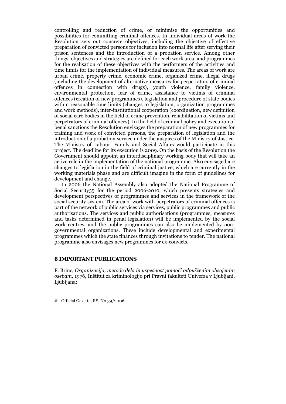controlling and reduction of crime, or minimise the opportunities and possibilities for committing criminal offences. In individual areas of work the Resolution sets out concrete objectives, including the objective of effective preparation of convicted persons for inclusion into normal life after serving their prison sentences and the introduction of a probation service. Among other things, objectives and strategies are defined for each work area, and programmes for the realisation of these objectives with the performers of the activities and time limits for the implementation of individual measures. The areas of work are urban crime, property crime, economic crime, organized crime, illegal drugs (including the development of alternative measures for perpetrators of criminal offences in connection with drugs), youth violence, family violence, environmental protection, fear of crime, assistance to victims of criminal offences (creation of new programmes), legislation and procedure of state bodies within reasonable time limits (changes to legislation, organization programmes and work methods), inter-institutional cooperation (coordination, new definition of social care bodies in the field of crime prevention, rehabilitation of victims and perpetrators of criminal offences). In the field of criminal policy and execution of penal sanctions the Resolution envisages the preparation of new programmes for training and work of convicted persons, the preparation of legislation and the introduction of a probation service under the auspices of the Ministry of Justice. The Ministry of Labour, Family and Social Affairs would participate in this project. The deadline for its execution is 2009. On the basis of the Resolution the Government should appoint an interdisciplinary working body that will take an active role in the implementation of the national programme. Also envisaged are changes to legislation in the field of criminal justice, which are currently in the working materials phase and are difficult imagine in the form of guidelines for development and change.

 In 2006 the National Assembly also adopted the National Programme of Social Security35 for the period 2006-2010, which presents strategies and development perspectives of programmes and services in the framework of the social security system. The area of work with perpetrators of criminal offences is part of the network of public services via services, public programmes and public authorisations. The services and public authorisations (programmes, measures and tasks determined in penal legislation) will be implemented by the social work centres, and the public programmes can also be implemented by nongovernmental organizations. These include developmental and experimental programmes which the state finances through invitations to tender. The national programme also envisages new programmes for ex-convicts.

#### **8 IMPORTANT PUBLICATIONS**

F. Brinc, *Organizacija, metode dela in uspešnost pomoči odpuščenim obsojenim osebam*, 1976, Inštitut za kriminologijo pri Pravni fakulteti Univerza v Ljubljani, Ljubljana;

<sup>35</sup> Official Gazette, RS, No.39/2006.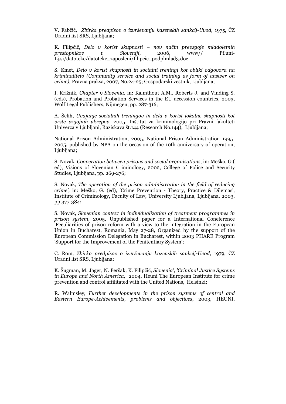V. Fabčič, *Zbirka predpisov o izvrševanju kazenskih sankcij-Uvod*, 1975, ČZ Uradni list SRS, Ljubljana;

K. Filipčič, *Delo v korist skupnosti – nov način prevzgoje mladoletnih prestopnikov v Sloveniji*, 2006, www// Pf.uni-Lj.si/datoteke/datoteke\_zaposleni/filipcic\_podplmlad3.doc

S. Kmet, *Delo v korist skupnosti in socialni treningi kot obliki odgovora na kriminaliteto (Community service and social training as form of answer on crime),* Pravna praksa, 2007, No.24-25; Gospodarski vestnik, Ljubljana;

I. Križnik, *Chapter 9 Slovenia,* in: Kalmthout A.M., Roberts J. and Vinding S. (eds), Probation and Probation Services in the EU accession countries, 2003, Wolf Legal Publishers, Nijmegen, pp. 287-316;

A. Šelih, *Uvajanje socialnih treningov in dela v korist lokalne skupnosti kot vrste vzgojnih ukrepov,* 2005, Inštitut za kriminologijo pri Pravni fakulteti Univerza v Ljubljani, Raziskava št.144 (Research No.144), Ljubljana;

National Prison Administration, 2005, National Prison Administration 1995- 2005, published by NPA on the occasion of the 10th anniversary of operation, Ljubljana;

S. Novak, *Cooperation between prisons and social organisations*, in: Meško, G.( ed), Visions of Slovenian Criminology, 2002, College of Police and Security Studies, Ljubljana, pp. 269-276;

S. Novak, *The operation of the prison administration in the field of reducing crime',* in: Meško, G. (ed), 'Crime Prevention - Theory, Practice & Dilemas', Institute of Criminology, Faculty of Law, University Ljubljana, Ljubljana, 2003, pp.377-384;

S. Novak, *Slovenian context in individualization of treatment programmes in prison system*, 2005, Unpublished paper for a International Coneference 'Peculiarities of prison reform with a view to the integration in the European Union in Bucharest, Romania, May 27-28, Organized by the support of the European Commission Delegation in Bucharest, within 2003 PHARE Program 'Support for the Improvement of the Penitentiary System';

C. Rom, *Zbirka predpisov o izvrševanju kazenskih sankcij-Uvod*, 1979, ČZ Uradni list SRS, Ljubljana;

K. Šugman, M. Jager, N. Peršak, K. Filipčič, *Slovenia', 'Criminal Justice Systems in Europe and North America*, 2004, Heuni The European Institute for crime prevention and control affilitated with the United Nations, Helsinki;

R. Walmsley, *Further developments in the prison systems of central and Eastern Europe-Achivements, problems and objectives*, 2003, HEUNI,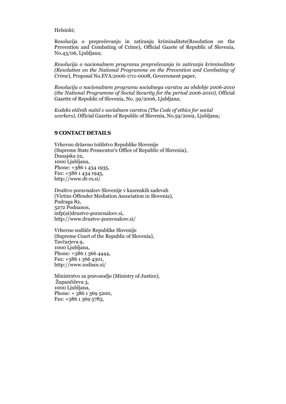Helsinki;

Resolucija o preprečevanju in zatiranju kriminalitete(Resolution on the Prevention and Combating of Crime), Official Gazete of Republic of Slovenia, No.43/06, Ljubljana;

*Resolucija o nacionalnem programu preprečevanja in zatiranja kriminalitete (Resolution on the National Programme on the Prevention and Combating of Crime*), Proposal No.EVA:2006-1711-0008, Government paper,

*Resolucija o nacionalnem programu socialnega varstva za obdobje 2006-2010 (the National Programme of Social Security for the period 2006-2010),* Official Gazette of Republic of Slovenia, No. 39/2006, Ljubljana;

*Kodeks etičnih načel v socialnem varstvu (The Code of ethics for social workers),* Official Gazette of Republic of Slovenia, No.59/2002, Ljubljana;

#### **9 CONTACT DETAILS**

Vrhovno državno tožilstvo Republike Slovenije (Supreme State Prosecutor's Office of Republic of Slovenia), Dunajska 22, 1000 Ljubljana, Phone: +386 1 434 1935, Fax: +386 1 434 1945, http://www.dt-rs.si/

Društvo poravnalcev Slovenije v kazenskih zadevah (Victim-Offender Mediation Association in Slovenia), Podraga 82, 5272 Podnanos, infp(at)drustvo-poravnalcev.si, http://www.drustvo-poravnalcev.si/

Vrhovno sodišče Republike Slovenije (Supreme Court of the Republic of Slovenia), Tavčarjeva 9, 1000 Ljubljana, Phone: +386 1 366 4444, Fax: +386 1 366 4301, http://www.sodisce.si/

Ministrstvo za pravosodje (Ministry of Justice), Župančičeva 3, 1000 Ljubljana, Phone: + 386 1 369 5200, Fax: +386 1 369 5783,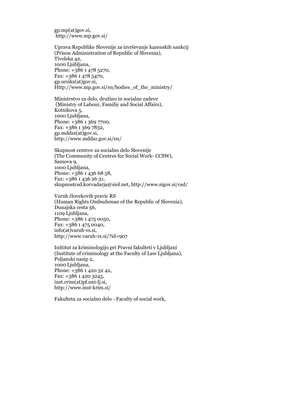gp.mp(at)gov.si, http://www.mp.gov.si/

Uprava Republike Slovenije za izvrševanje kazenskih sankcij (Prison Administration of Republic of Slovenia), Tivolska 42, 1000 Ljubljana, Phone: +386 1 478 5270, Fax: +386 1 478 5470, gp.ursiks(at)gov.si, Http://www.mp.gov.si/en/bodies\_of\_the\_ministry/

Ministrstvo za delo, družino in socialne zadeve (Ministry of Labour, Familiy and Social Affairs), Kotnikova 5, 1000 Ljubljana, Phone: +386 1 369 7700, Fax: +386 1 369 7832, gp.mddsz(at)gov.si, http://www.mddsz.gov.si/en/

Skupnost centrov za socialno delo Slovenije (The Community of Centres for Social Work- CCSW), Samova 9, 1000 Ljubljana, Phone: +386 1 436 68 58, Fax: +386 1 436 26 31, skupnostcsd.korvadarja@siol.net, http://www.sigov.si/csd/

Varuh človekovih pravic RS (Human Rights Ombudsman of the Republic of Slovenia), Dunajska cesta 56, 1109 Ljubljana, Phone: +386 1 475 0050, Fax: +386 1 475 0040, info(at)varuh-rs.si, http://www.varuh-rs.si/?id=907

Inštitut za kriminologijo pri Pravni fakulteti v Ljubljani (Institute of criminology at the Faculty of Law Ljubljana), Poljanski nasip 2, 1000 Ljubljana, Phone: +386 1 420 32 42, Fax: +386 1 420 3245, inst.crim(at)pf.uni-lj.si, http://www.inst-krim.si/

Fakulteta za socialno delo - Faculty of social work,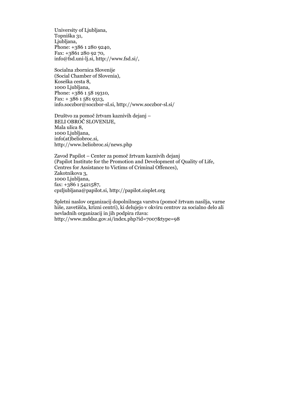University of Liubliana. Topniška 31, Liubliana. Phone: +386 1 280 9240, Fax: +3861 280 92 70, info@fsd.uni-lj.si, http://www.fsd.si/,

Socialna zbornica Slovenije (Social Chamber of Slovenia), Koseška cesta 8, 1000 Ljubljana, Phone: +386 1 58 19310, Fax: + 386 1 581 9313, info.soczbor@soczbor-sl.si, http://www.soczbor-sl.si/

Društvo za pomoč žrtvam kaznivih dejanj – BELI OBROČ SLOVENIJE, Mala ulica 8, 1000 Ljubljana, info(at)beliobroc.si, http://www.beliobroc.si/news.php

Zavod Papilot – Center za pomoč žrtvam kaznivih dejanj (Papilot Institute for the Promotion and Development of Quality of Life, Centres for Assistance to Victims of Criminal Offences), Zakotnikova 3, 1000 Ljubljana, fax: +386 1 5421587, cpzljubljana@papilot.si, http://papilot.sisplet.org

Spletni naslov organizacij dopolnilnega varstva (pomoč žrtvam nasilja, varne hiše, zavetišča, krizni centri), ki delujejo v okviru centrov za socialno delo ali nevladnih organizacij in jih podpira ržava: http://www.mddsz.gov.si/index.php?id=7007&type=98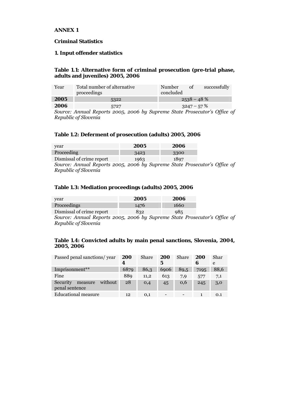#### **ANNEX 1**

## **Criminal Statistics**

#### **1. Input offender statistics**

#### **Table 1.1: Alternative form of criminal prosecution (pre-trial phase, adults and juveniles) 2005, 2006**

| Year | Total number of alternative<br>proceedings                               | Number<br>concluded | οf            | successfully |
|------|--------------------------------------------------------------------------|---------------------|---------------|--------------|
| 2005 | 5322                                                                     |                     | $2538 - 48\%$ |              |
| 2006 | 5727                                                                     |                     | $3247 - 57\%$ |              |
|      | Counce Annual Departe 0005, 0006 by Cynnemo State Droceautor's Office at |                     |               |              |

*Source: Annual Reports 2005, 2006 by Supreme State Prosecutor's Office of Republic of Slovenia* 

## **Table 1.2: Deferment of prosecution (adults) 2005, 2006**

| year                                                                      | 2005 | 2006 |  |
|---------------------------------------------------------------------------|------|------|--|
| Proceeding                                                                | 3423 | 3300 |  |
| Dismissal of crime report                                                 | 1963 | 1897 |  |
| Source: Annual Reports 2005, 2006 by Supreme State Prosecutor's Office of |      |      |  |

*Republic of Slovenia* 

### **Table 1.3: Mediation proceedings (adults) 2005, 2006**

| year                      | 2005 | 2006 |
|---------------------------|------|------|
| Proceedings               | 1476 | 1660 |
| Dismissal of crime report | 832  | 985  |
|                           | . .  |      |

*Source: Annual Reports 2005, 2006 by Supreme State Prosecutor's Office of Republic of Slovenia* 

## **Table 1.4: Convicted adults by main penal sanctions, Slovenia, 2004, 2005, 2006**

| Passed penal sanctions/ year                     | 200  | Share | 200             | <b>Share</b> | 200  | Shar |
|--------------------------------------------------|------|-------|-----------------|--------------|------|------|
|                                                  | 4    |       | 5               |              | 6    | e    |
| Imprisonment**                                   | 6879 | 86,3  | 6906            | 89,5         | 7195 | 88.6 |
| Fine                                             | 889  | 11.2  | 613             | 7,9          | 577  | 7,1  |
| Security<br>without<br>measure<br>penal sentence | 28   | O,4   | 45              | 0,6          | 245  | 3,0  |
| <b>Educational measure</b>                       | 12   | 0,1   | $\qquad \qquad$ |              |      | 0.1  |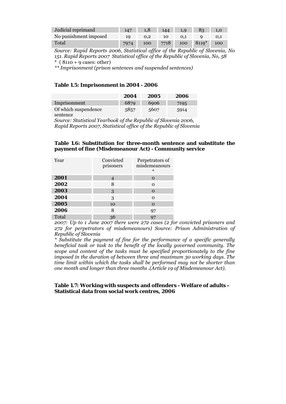| Judicial reprimand    | 147  | 1.8           | 144 | $\blacksquare$ 1,9 $\blacksquare$ | 83                                 | 1.0 |
|-----------------------|------|---------------|-----|-----------------------------------|------------------------------------|-----|
| No punishment imposed | 10   | $0.2^{\circ}$ | 10. | 0.1                               |                                    |     |
| Total                 | 7974 |               |     |                                   | 100 7718 100 8119 <sup>*</sup> 100 |     |

*Source: Rapid Reports 2006, Statistical office of the Republic of Slovenia, No 151. Rapid Reports 2007 Statistical office of the Republic of Slovenia, No, 58*   $*$  (8110 + 9 cases: other)

*\*\* Imprisonment (prison sentences and suspended sentences)* 

#### **Table 1.5: Imprisonment in 2004 - 2006**

|                      | 2004 | 2005 | 2006 |
|----------------------|------|------|------|
| Imprisonment         | 6879 | 6906 | 7195 |
| Of which suspendence | 5857 | 5607 | 5914 |
| sentence             |      |      |      |

*Source: Statistical Yearbook of the Republic of Slovenia 2006, Rapid Reports 2007, Statistical office of the Republic of Slovenia* 

#### **Table 1.6: Substitution for three-month sentence and substitute the payment of fine (Misdemeanour Act) - Community service**

| Year  | Convicted<br>prisoners | Perpetrators of<br>misdemeanours<br>$\ast$ |
|-------|------------------------|--------------------------------------------|
| 2001  |                        | $\Omega$                                   |
| 2002  | 8                      | $\Omega$                                   |
| 2003  | 3                      | $\Omega$                                   |
| 2004  | 3                      | $\Omega$                                   |
| 2005  | 10                     | $\Omega$                                   |
| 2006  | 8                      | 97                                         |
| Total | 36                     | 97                                         |

*2007: Up to 1 June 2007 there were 272 cases (2 for convicted prisoners and 272 for perpetrators of misdemeanours) Source: Prison Administration of Republic of Slovenia* 

*\* Substitute the payment of fine for the performance of a specific generally beneficial task or task to the benefit of the locally governed community. The scope and content of the tasks must be specified proportionately to the fine imposed in the duration of between three and maximum 30 working days. The time limit within which the tasks shall be performed may not be shorter than one month and longer than three months .(Article 19 of Misdemeanour Act).* 

#### **Table 1.7: Working with suspects and offenders - Welfare of adults – Statistical data from social work centres, 2006**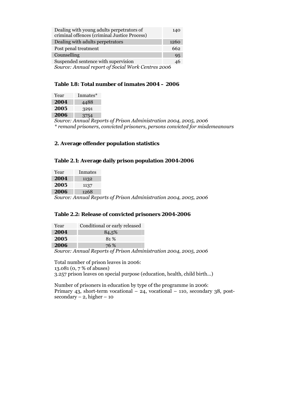| Dealing with young adults perpetrators of<br>criminal offences (criminal Justice Process) | 140  |  |
|-------------------------------------------------------------------------------------------|------|--|
| Dealing with adults perpetrators                                                          | 1260 |  |
| Post penal treatment                                                                      | 662  |  |
| Counselling                                                                               | 95   |  |
| Suspended sentence with supervision                                                       | 46   |  |
| Source: Annual report of Social Work Centres 2006                                         |      |  |

## **Table 1.8: Total number of inmates 2004 – 2006**

| Year | Inmates* |
|------|----------|
| 2004 | 4488     |
| 2005 | 3291     |
| 2006 | 3754     |

e. *Source: Annual Reports of Prison Administration 2004, 2005, 2006 \* remand prisoners, convicted prisoners, persons convicted for misdemeanours* 

## **2. Average offender population statistics**

## **Table 2.1: Average daily prison population 2004-2006**

| Year | Inmates |                                                                  |
|------|---------|------------------------------------------------------------------|
| 2004 | 1132    |                                                                  |
| 2005 | 1137    |                                                                  |
| 2006 | 1268    |                                                                  |
|      |         | Source: Annual Reports of Prison Administration 2004, 2005, 2006 |

### **Table 2.2: Release of convicted prisoners 2004-2006**

| Year                                                             | Conditional or early released |  |
|------------------------------------------------------------------|-------------------------------|--|
| 2004                                                             | 84,5%                         |  |
| 2005                                                             | 81 %                          |  |
| 2006                                                             | 76 %                          |  |
| Source: Annual Reports of Prison Administration 2004, 2005, 2006 |                               |  |

Total number of prison leaves in 2006: 13.081 (0, 7 % of abuses) 3.257 prison leaves on special purpose (education, health, child birth…)

Number of prisoners in education by type of the programme in 2006: Primary 43, short-term vocational – 24, vocational – 110, secondary 38, post $secondary - 2, higher - 10$